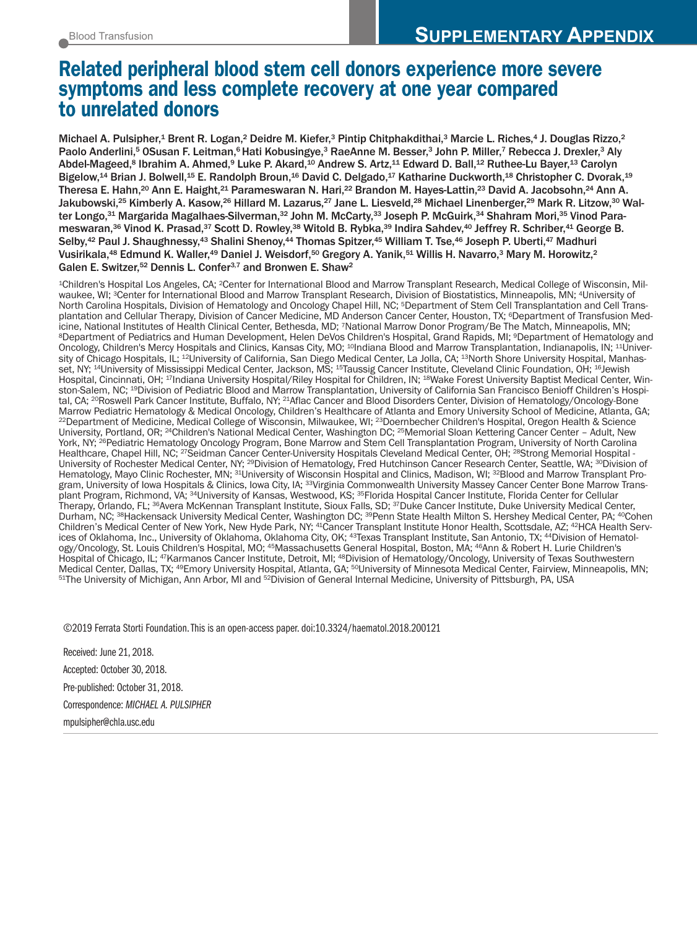# **Related peripheral blood stem cell donors experience more severe symptoms and less complete recovery at one year compared to unrelated donors**

Michael A. Pulsipher,<sup>1</sup> Brent R. Logan,<sup>2</sup> Deidre M. Kiefer,<sup>3</sup> Pintip Chitphakdithai,<sup>3</sup> Marcie L. Riches,<sup>4</sup> J. Douglas Rizzo,<sup>2</sup> Paolo Anderlini,<sup>5</sup> OSusan F. Leitman,<sup>6</sup> Hati Kobusingye,<sup>3</sup> RaeAnne M. Besser,<sup>3</sup> John P. Miller,7 Rebecca J. Drexler,<sup>3</sup> Aly Abdel-Mageed,<sup>s</sup> Ibrahim A. Ahmed,<sup>9</sup> Luke P. Akard,<sup>10</sup> Andrew S. Artz,<sup>11</sup> Edward D. Ball,<sup>12</sup> Ruthee-Lu Bayer,<sup>13</sup> Carolyn Bigelow,<sup>14</sup> Brian J. Bolwell,<sup>15</sup> E. Randolph Broun,<sup>16</sup> David C. Delgado,<sup>17</sup> Katharine Duckworth,<sup>18</sup> Christopher C. Dvorak,<sup>19</sup> Theresa E. Hahn,<sup>20</sup> Ann E. Haight,<sup>21</sup> Parameswaran N. Hari,<sup>22</sup> Brandon M. Hayes-Lattin,<sup>23</sup> David A. Jacobsohn,<sup>24</sup> Ann A. Jakubowski,<sup>25</sup> Kimberly A. Kasow,<sup>26</sup> Hillard M. Lazarus,<sup>27</sup> Jane L. Liesveld,<sup>28</sup> Michael Linenberger,<sup>29</sup> Mark R. Litzow,<sup>30</sup> Walter Longo, $^{\rm 31}$  Margarida Magalhaes-Silverman, $^{\rm 32}$  John M. McCarty, $^{\rm 33}$  Joseph P. McGuirk, $^{\rm 34}$  Shahram Mori, $^{\rm 35}$  Vinod Parameswaran,<sup>36</sup> Vinod K. Prasad,<sup>37</sup> Scott D. Rowley,<sup>38</sup> Witold B. Rybka,<sup>39</sup> Indira Sahdev,<sup>40</sup> Jeffrey R. Schriber,<sup>41</sup> George B. Selby,<sup>42</sup> Paul J. Shaughnessy,<sup>43</sup> Shalini Shenoy,<sup>44</sup> Thomas Spitzer,<sup>45</sup> William T. Tse,<sup>46</sup> Joseph P. Uberti,<sup>47</sup> Madhuri Vusirikala,<sup>48</sup> Edmund K. Waller,<sup>49</sup> Daniel J. Weisdorf,<sup>50</sup> Gregory A. Yanik,<sup>51</sup> Willis H. Navarro,<sup>3</sup> Mary M. Horowitz,<sup>2</sup> Galen E. Switzer,<sup>52</sup> Dennis L. Confer<sup>3,7</sup> and Bronwen E. Shaw<sup>2</sup>

1Children's Hospital Los Angeles, CA; 2Center for International Blood and Marrow Transplant Research, Medical College of Wisconsin, Milwaukee, WI; 3Center for International Blood and Marrow Transplant Research, Division of Biostatistics, Minneapolis, MN; 4University of North Carolina Hospitals, Division of Hematology and Oncology Chapel Hill, NC; <sup>5</sup>Department of Stem Cell Transplantation and Cell Transplantation and Cellular Therapy, Division of Cancer Medicine, MD Anderson Cancer Center, Houston, TX; <sup>6</sup>Department of Transfusion Medicine, National Institutes of Health Clinical Center, Bethesda, MD; 7National Marrow Don <sup>8</sup>Department of Pediatrics and Human Development, Helen DeVos Children's Hospital, Grand Rapids, MI; <sup>9</sup>Department of Hematology and Oncology, Children's Mercy Hospitals and Clinics, Kansas City, MO; <sup>10</sup>Indiana Blood and Marrow Transplantation, Indianapolis, IN; <sup>11</sup>University of Chicago Hospitals, IL; 12University of California, San Diego Medical Center, La Jolla, CA; 13North Shore University Hospital, Manhasset, NY; <sup>14</sup>University of Mississippi Medical Center, Jackson, MS; <sup>15</sup>Taussig Cancer Institute, Cleveland Clinic Foundation, OH; <sup>16</sup>Jewish Hospital, Cincinnati, OH; <sup>17</sup>Indiana University Hospital/Riley Hospital for Children, IN; <sup>18</sup>Wake Forest University Baptist Medical Center, Winston-Salem, NC; 19Division of Pediatric Blood and Marrow Transplantation, University of California San Francisco Benioff Children's Hospital, CA; <sup>20</sup>Roswell Park Cancer Institute, Buffalo, NY; <sup>21</sup>Aflac Cancer and Blood Disorders Center, Division of Hematology/Oncology-Bone<br>Marrow Pediatric Hematology & Medical Oncology, Children's Healthcare of Atlanta an <sup>22</sup>Department of Medicine, Medical College of Wisconsin, Milwaukee, WI; <sup>23</sup>Doernbecher Children's Hospital, Oregon Health & Science University, Portland, OR; 24Children's National Medical Center, Washington DC; 25Memorial Sloan Kettering Cancer Center – Adult, New York, NY; <sup>26</sup>Pediatric Hematology Oncology Program, Bone Marrow and Stem Cell Transplantation Program, University of North Carolina Healthcare, Chapel Hill, NC; 27Seidman Cancer Center-University Hospitals Cleveland Medical Center, OH; 28Strong Memorial Hospital - University of Rochester Medical Center, NY; <sup>29</sup>Division of Hematology, Fred Hutchinson Cancer Research Center, Seattle, WA; <sup>30</sup>Division of Hematology, Mayo Clinic Rochester, MN; 31 University of Wisconsin Hospital and Clinics, Madison, WI; 32 Blood and Marrow Transplant Program, University of Iowa Hospitals & Clinics, Iowa City, IA; <sup>33</sup>Virginia Commonwealth University Massey Cancer Center Bone Marrow Transplant Program, Richmond, VA; 34University of Kansas, Westwood, KS; 35Florida Hospital Cancer Institute, Florida Center for Cellular Therapy, Orlando, FL; 36Avera McKennan Transplant Institute, Sioux Falls, SD; 37Duke Cancer Institute, Duke University Medical Center, Durham, NC; <sup>38</sup>Hackensack University Medical Center, Washington DC; <sup>39</sup>Penn State Health Milton S. Hershey Medical Center, PA; <sup>40</sup>Cohen Children's Medical Center of New York, New Hyde Park, NY; 41Cancer Transplant Institute Honor Health, Scottsdale, AZ; 42HCA Health Services of Oklahoma, Inc., University of Oklahoma, Oklahoma City, OK; <sup>43</sup>Texas Transplant Institute, San Antonio, TX; <sup>44</sup>Division of Hematology/Oncology, St. Louis Children's Hospital, MO; 45Massachusetts General Hospital, Boston, MA; 46Ann & Robert H. Lurie Children's Hospital of Chicago, IL; <sup>47</sup>Karmanos Cancer Institute, Detroit, MI; <sup>48</sup>Division of Hematology/Oncology, University of Texas Southwestern<br>Medical Center, Dallas, TX; <sup>49</sup>Emory University Hospital, Atlanta, GA; <sup>50</sup>Univers <sup>51</sup>The University of Michigan, Ann Arbor, MI and <sup>52</sup>Division of General Internal Medicine, University of Pittsburgh, PA, USA

©2019 Ferrata Storti Foundation.This is an open-access paper. doi:10.3324/haematol.2018.200121

Received: June 21, 2018. Accepted: October 30, 2018. Pre-published: October 31, 2018. Correspondence: *MICHAEL A. PULSIPHER* mpulsipher@chla.usc.edu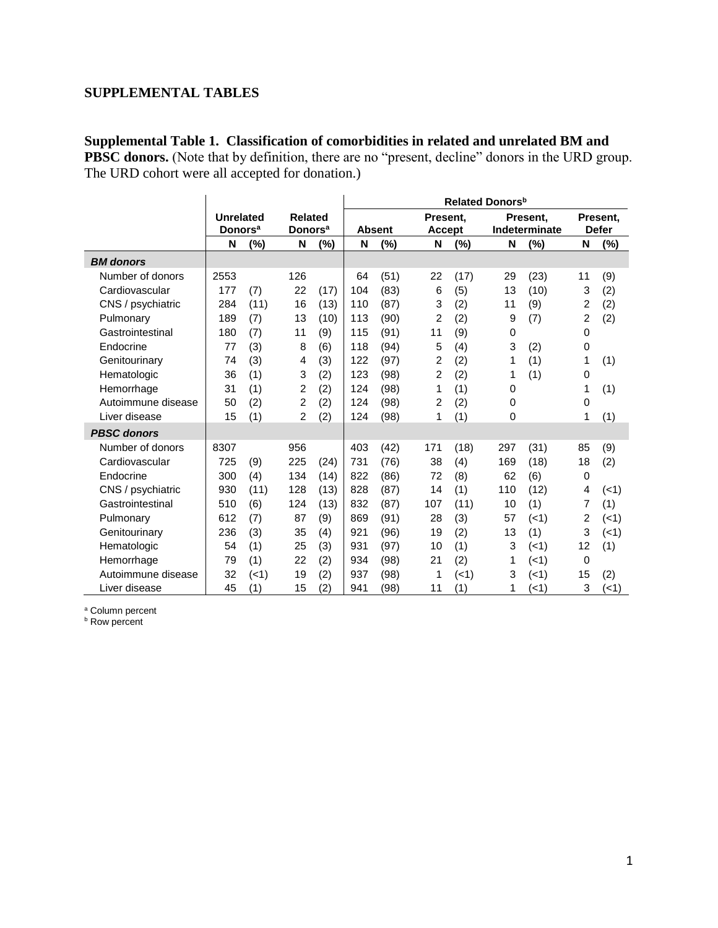## **SUPPLEMENTAL TABLES**

**Supplemental Table 1. Classification of comorbidities in related and unrelated BM and PBSC donors.** (Note that by definition, there are no "present, decline" donors in the URD group. The URD cohort were all accepted for donation.)

|                    |                            |      |                            |                | Related Donors <sup>b</sup> |               |                |               |     |               |                |              |
|--------------------|----------------------------|------|----------------------------|----------------|-----------------------------|---------------|----------------|---------------|-----|---------------|----------------|--------------|
|                    | <b>Unrelated</b>           |      |                            | <b>Related</b> |                             |               |                | Present,      |     | Present.      |                | Present.     |
|                    | <b>Donors</b> <sup>a</sup> |      | <b>Donors</b> <sup>a</sup> |                |                             | <b>Absent</b> |                | <b>Accept</b> |     | Indeterminate |                | <b>Defer</b> |
|                    | N                          | (%)  | N                          | (%)            | N                           | (%)           | N              | (%)           | N   | $(\%)$        | N              | (%)          |
| <b>BM</b> donors   |                            |      |                            |                |                             |               |                |               |     |               |                |              |
| Number of donors   | 2553                       |      | 126                        |                | 64                          | (51)          | 22             | (17)          | 29  | (23)          | 11             | (9)          |
| Cardiovascular     | 177                        | (7)  | 22                         | (17)           | 104                         | (83)          | 6              | (5)           | 13  | (10)          | 3              | (2)          |
| CNS / psychiatric  | 284                        | (11) | 16                         | (13)           | 110                         | (87)          | 3              | (2)           | 11  | (9)           | $\overline{c}$ | (2)          |
| Pulmonary          | 189                        | (7)  | 13                         | (10)           | 113                         | (90)          | $\overline{2}$ | (2)           | 9   | (7)           | 2              | (2)          |
| Gastrointestinal   | 180                        | (7)  | 11                         | (9)            | 115                         | (91)          | 11             | (9)           | 0   |               | 0              |              |
| Endocrine          | 77                         | (3)  | 8                          | (6)            | 118                         | (94)          | 5              | (4)           | 3   | (2)           | 0              |              |
| Genitourinary      | 74                         | (3)  | 4                          | (3)            | 122                         | (97)          | 2              | (2)           | 1   | (1)           | 1              | (1)          |
| Hematologic        | 36                         | (1)  | 3                          | (2)            | 123                         | (98)          | $\overline{2}$ | (2)           | 1   | (1)           | 0              |              |
| Hemorrhage         | 31                         | (1)  | 2                          | (2)            | 124                         | (98)          | 1              | (1)           | 0   |               | 1              | (1)          |
| Autoimmune disease | 50                         | (2)  | $\overline{2}$             | (2)            | 124                         | (98)          | 2              | (2)           | 0   |               | 0              |              |
| Liver disease      | 15                         | (1)  | $\overline{2}$             | (2)            | 124                         | (98)          | 1              | (1)           | 0   |               | 1              | (1)          |
| <b>PBSC</b> donors |                            |      |                            |                |                             |               |                |               |     |               |                |              |
| Number of donors   | 8307                       |      | 956                        |                | 403                         | (42)          | 171            | (18)          | 297 | (31)          | 85             | (9)          |
| Cardiovascular     | 725                        | (9)  | 225                        | (24)           | 731                         | (76)          | 38             | (4)           | 169 | (18)          | 18             | (2)          |
| Endocrine          | 300                        | (4)  | 134                        | (14)           | 822                         | (86)          | 72             | (8)           | 62  | (6)           | $\mathbf 0$    |              |
| CNS / psychiatric  | 930                        | (11) | 128                        | (13)           | 828                         | (87)          | 14             | (1)           | 110 | (12)          | 4              | (<1)         |
| Gastrointestinal   | 510                        | (6)  | 124                        | (13)           | 832                         | (87)          | 107            | (11)          | 10  | (1)           | 7              | (1)          |
| Pulmonary          | 612                        | (7)  | 87                         | (9)            | 869                         | (91)          | 28             | (3)           | 57  | (<1)          | 2              | (<1)         |
| Genitourinary      | 236                        | (3)  | 35                         | (4)            | 921                         | (96)          | 19             | (2)           | 13  | (1)           | 3              | (<1)         |
| Hematologic        | 54                         | (1)  | 25                         | (3)            | 931                         | (97)          | 10             | (1)           | 3   | $(-1)$        | 12             | (1)          |
| Hemorrhage         | 79                         | (1)  | 22                         | (2)            | 934                         | (98)          | 21             | (2)           | 1   | (<1)          | 0              |              |
| Autoimmune disease | 32                         | (1)  | 19                         | (2)            | 937                         | (98)          | 1              | (<1)          | 3   | (<1)          | 15             | (2)          |
| Liver disease      | 45                         | (1)  | 15                         | (2)            | 941                         | (98)          | 11             | (1)           | 1   | (51)          | 3              | (1)          |

<sup>a</sup> Column percent

**b** Row percent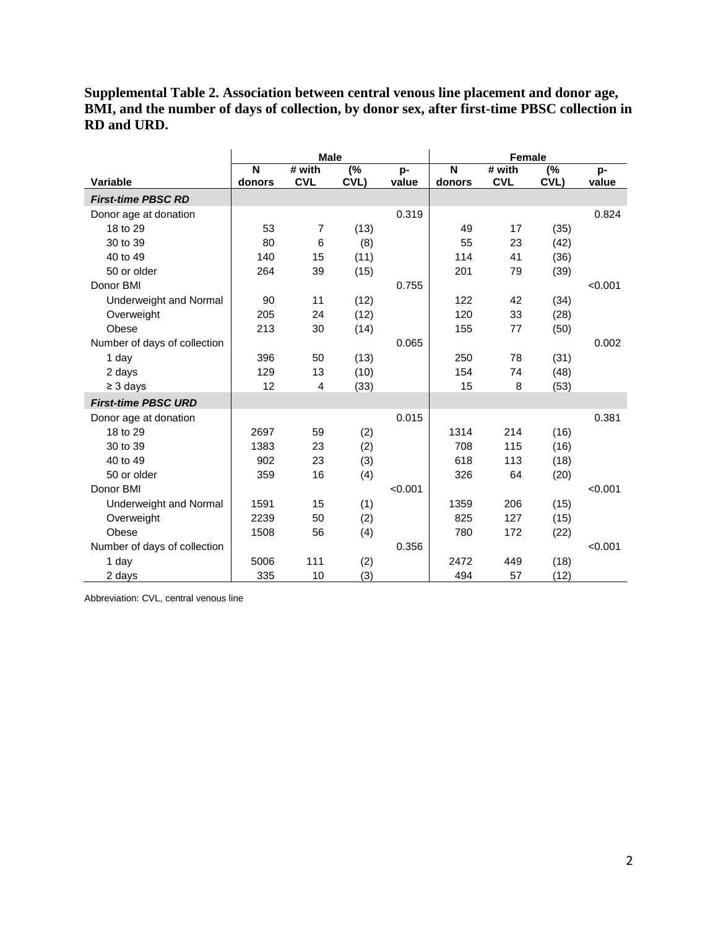**Supplemental Table 2. Association between central venous line placement and donor age, BMI, and the number of days of collection, by donor sex, after first-time PBSC collection in RD and URD.**

|                              |             | <b>Male</b>          |                           |             | <b>Female</b> |                      |                           |             |  |
|------------------------------|-------------|----------------------|---------------------------|-------------|---------------|----------------------|---------------------------|-------------|--|
| Variable                     | N<br>donors | # with<br><b>CVL</b> | $\overline{(\%)}$<br>CVL) | p-<br>value | N<br>donors   | # with<br><b>CVL</b> | $\overline{(\%)}$<br>CVL) | p-<br>value |  |
| <b>First-time PBSC RD</b>    |             |                      |                           |             |               |                      |                           |             |  |
| Donor age at donation        |             |                      |                           | 0.319       |               |                      |                           | 0.824       |  |
| 18 to 29                     | 53          | $\overline{7}$       | (13)                      |             | 49            | 17                   | (35)                      |             |  |
| 30 to 39                     | 80          | 6                    | (8)                       |             | 55            | 23                   | (42)                      |             |  |
| 40 to 49                     | 140         | 15                   | (11)                      |             | 114           | 41                   | (36)                      |             |  |
| 50 or older                  | 264         | 39                   | (15)                      |             | 201           | 79                   | (39)                      |             |  |
| Donor BMI                    |             |                      |                           | 0.755       |               |                      |                           | < 0.001     |  |
| Underweight and Normal       | 90          | 11                   | (12)                      |             | 122           | 42                   | (34)                      |             |  |
| Overweight                   | 205         | 24                   | (12)                      |             | 120           | 33                   | (28)                      |             |  |
| Obese                        | 213         | 30                   | (14)                      |             | 155           | 77                   | (50)                      |             |  |
| Number of days of collection |             |                      |                           | 0.065       |               |                      |                           | 0.002       |  |
| 1 day                        | 396         | 50                   | (13)                      |             | 250           | 78                   | (31)                      |             |  |
| 2 days                       | 129         | 13                   | (10)                      |             | 154           | 74                   | (48)                      |             |  |
| $\geq$ 3 days                | 12          | 4                    | (33)                      |             | 15            | 8                    | (53)                      |             |  |
| <b>First-time PBSC URD</b>   |             |                      |                           |             |               |                      |                           |             |  |
| Donor age at donation        |             |                      |                           | 0.015       |               |                      |                           | 0.381       |  |
| 18 to 29                     | 2697        | 59                   | (2)                       |             | 1314          | 214                  | (16)                      |             |  |
| 30 to 39                     | 1383        | 23                   | (2)                       |             | 708           | 115                  | (16)                      |             |  |
| 40 to 49                     | 902         | 23                   | (3)                       |             | 618           | 113                  | (18)                      |             |  |
| 50 or older                  | 359         | 16                   | (4)                       |             | 326           | 64                   | (20)                      |             |  |
| Donor BMI                    |             |                      |                           | < 0.001     |               |                      |                           | < 0.001     |  |
| Underweight and Normal       | 1591        | 15                   | (1)                       |             | 1359          | 206                  | (15)                      |             |  |
| Overweight                   | 2239        | 50                   | (2)                       |             | 825           | 127                  | (15)                      |             |  |
| Obese                        | 1508        | 56                   | (4)                       |             | 780           | 172                  | (22)                      |             |  |
| Number of days of collection |             |                      |                           | 0.356       |               |                      |                           | < 0.001     |  |
| 1 day                        | 5006        | 111                  | (2)                       |             | 2472          | 449                  | (18)                      |             |  |
| 2 days                       | 335         | 10                   | (3)                       |             | 494           | 57                   | (12)                      |             |  |

Abbreviation: CVL, central venous line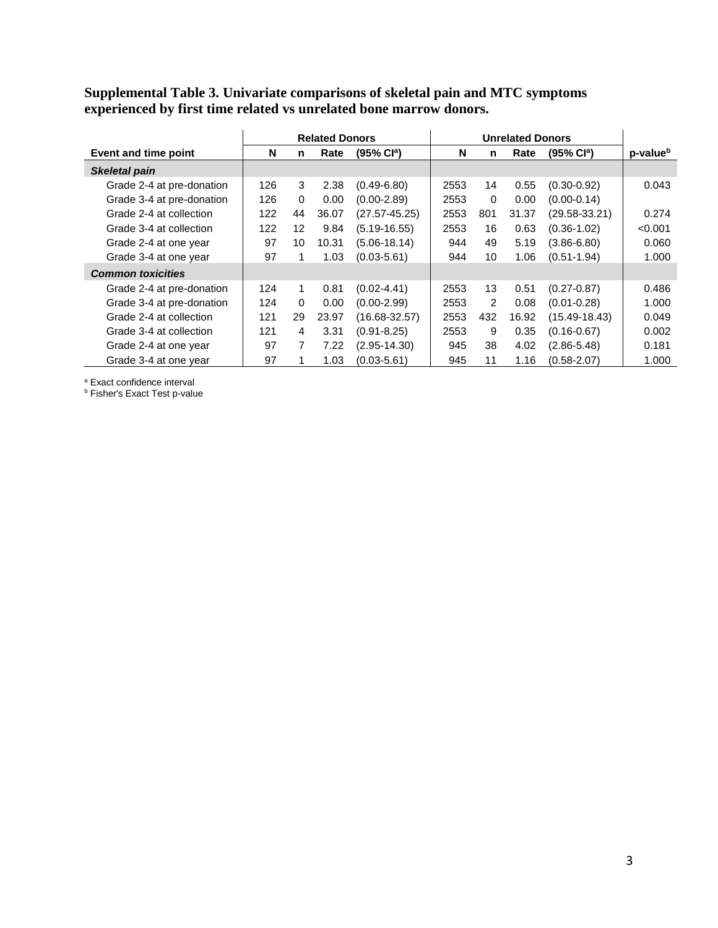#### **Supplemental Table 3. Univariate comparisons of skeletal pain and MTC symptoms experienced by first time related vs unrelated bone marrow donors.**

|                           |     | <b>Related Donors</b> |       |                        |      |          |       |                        |                      |
|---------------------------|-----|-----------------------|-------|------------------------|------|----------|-------|------------------------|----------------------|
| Event and time point      | N   | n                     | Rate  | (95% Cl <sup>a</sup> ) | N    | n        | Rate  | (95% Cl <sup>a</sup> ) | p-value <sup>b</sup> |
| <b>Skeletal pain</b>      |     |                       |       |                        |      |          |       |                        |                      |
| Grade 2-4 at pre-donation | 126 | 3                     | 2.38  | $(0.49 - 6.80)$        | 2553 | 14       | 0.55  | $(0.30 - 0.92)$        | 0.043                |
| Grade 3-4 at pre-donation | 126 | $\Omega$              | 0.00  | $(0.00 - 2.89)$        | 2553 | $\Omega$ | 0.00  | $(0.00 - 0.14)$        |                      |
| Grade 2-4 at collection   | 122 | 44                    | 36.07 | $(27.57 - 45.25)$      | 2553 | 801      | 31.37 | $(29.58 - 33.21)$      | 0.274                |
| Grade 3-4 at collection   | 122 | 12                    | 9.84  | $(5.19 - 16.55)$       | 2553 | 16       | 0.63  | $(0.36 - 1.02)$        | < 0.001              |
| Grade 2-4 at one year     | 97  | 10                    | 10.31 | $(5.06 - 18.14)$       | 944  | 49       | 5.19  | $(3.86 - 6.80)$        | 0.060                |
| Grade 3-4 at one year     | 97  |                       | 1.03  | $(0.03 - 5.61)$        | 944  | 10       | 1.06  | $(0.51 - 1.94)$        | 1.000                |
| <b>Common toxicities</b>  |     |                       |       |                        |      |          |       |                        |                      |
| Grade 2-4 at pre-donation | 124 |                       | 0.81  | $(0.02 - 4.41)$        | 2553 | 13       | 0.51  | $(0.27 - 0.87)$        | 0.486                |
| Grade 3-4 at pre-donation | 124 | $\Omega$              | 0.00  | $(0.00 - 2.99)$        | 2553 | 2        | 0.08  | $(0.01 - 0.28)$        | 1.000                |
| Grade 2-4 at collection   | 121 | 29                    | 23.97 | $(16.68 - 32.57)$      | 2553 | 432      | 16.92 | $(15.49 - 18.43)$      | 0.049                |
| Grade 3-4 at collection   | 121 | 4                     | 3.31  | $(0.91 - 8.25)$        | 2553 | 9        | 0.35  | $(0.16 - 0.67)$        | 0.002                |
| Grade 2-4 at one year     | 97  |                       | 7.22  | $(2.95 - 14.30)$       | 945  | 38       | 4.02  | $(2.86 - 5.48)$        | 0.181                |
| Grade 3-4 at one year     | 97  |                       | 1.03  | $(0.03 - 5.61)$        | 945  | 11       | 1.16  | $(0.58 - 2.07)$        | 1.000                |

<sup>a</sup> Exact confidence interval

**b** Fisher's Exact Test p-value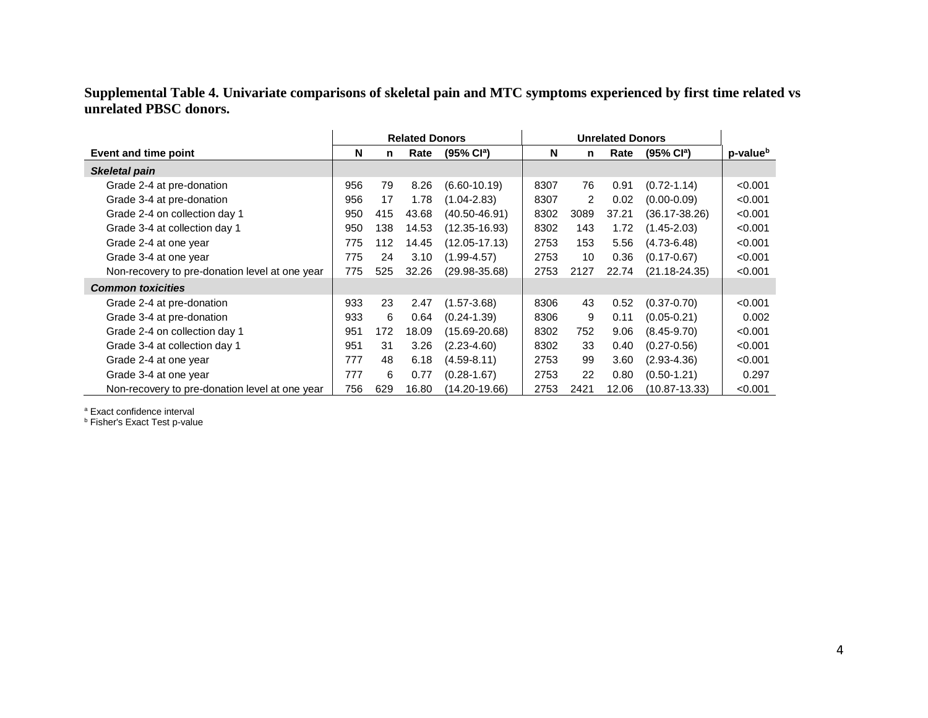## **Supplemental Table 4. Univariate comparisons of skeletal pain and MTC symptoms experienced by first time related vs unrelated PBSC donors.**

|                                                | <b>Related Donors</b> |     |       | <b>Unrelated Donors</b> |      |      |       |                        |                      |
|------------------------------------------------|-----------------------|-----|-------|-------------------------|------|------|-------|------------------------|----------------------|
| Event and time point                           | N                     | n.  | Rate  | (95% Cl <sup>a</sup> )  | N    | n    | Rate  | (95% Cl <sup>a</sup> ) | p-value <sup>b</sup> |
| <b>Skeletal pain</b>                           |                       |     |       |                         |      |      |       |                        |                      |
| Grade 2-4 at pre-donation                      | 956                   | 79  | 8.26  | $(6.60 - 10.19)$        | 8307 | 76   | 0.91  | $(0.72 - 1.14)$        | < 0.001              |
| Grade 3-4 at pre-donation                      | 956                   | 17  | 1.78  | $(1.04 - 2.83)$         | 8307 | 2    | 0.02  | $(0.00 - 0.09)$        | < 0.001              |
| Grade 2-4 on collection day 1                  | 950                   | 415 | 43.68 | $(40.50 - 46.91)$       | 8302 | 3089 | 37.21 | (36.17-38.26)          | < 0.001              |
| Grade 3-4 at collection day 1                  | 950                   | 138 | 14.53 | $(12.35 - 16.93)$       | 8302 | 143  | 1.72  | $(1.45 - 2.03)$        | < 0.001              |
| Grade 2-4 at one year                          | 775                   | 112 | 14.45 | $(12.05 - 17.13)$       | 2753 | 153  | 5.56  | $(4.73 - 6.48)$        | < 0.001              |
| Grade 3-4 at one year                          | 775                   | 24  | 3.10  | $(1.99 - 4.57)$         | 2753 | 10   | 0.36  | $(0.17 - 0.67)$        | < 0.001              |
| Non-recovery to pre-donation level at one year | 775                   | 525 | 32.26 | $(29.98 - 35.68)$       | 2753 | 2127 | 22.74 | $(21.18 - 24.35)$      | < 0.001              |
| <b>Common toxicities</b>                       |                       |     |       |                         |      |      |       |                        |                      |
| Grade 2-4 at pre-donation                      | 933                   | 23  | 2.47  | $(1.57 - 3.68)$         | 8306 | 43   | 0.52  | $(0.37 - 0.70)$        | < 0.001              |
| Grade 3-4 at pre-donation                      | 933                   | 6   | 0.64  | $(0.24 - 1.39)$         | 8306 | 9    | 0.11  | $(0.05 - 0.21)$        | 0.002                |
| Grade 2-4 on collection day 1                  | 951                   | 172 | 18.09 | $(15.69 - 20.68)$       | 8302 | 752  | 9.06  | $(8.45 - 9.70)$        | < 0.001              |
| Grade 3-4 at collection day 1                  | 951                   | 31  | 3.26  | $(2.23 - 4.60)$         | 8302 | 33   | 0.40  | $(0.27 - 0.56)$        | < 0.001              |
| Grade 2-4 at one year                          | 777                   | 48  | 6.18  | $(4.59 - 8.11)$         | 2753 | 99   | 3.60  | $(2.93 - 4.36)$        | < 0.001              |
| Grade 3-4 at one year                          | 777                   | 6   | 0.77  | $(0.28 - 1.67)$         | 2753 | 22   | 0.80  | $(0.50 - 1.21)$        | 0.297                |
| Non-recovery to pre-donation level at one year | 756                   | 629 | 16.80 | $(14.20 - 19.66)$       | 2753 | 2421 | 12.06 | $(10.87 - 13.33)$      | < 0.001              |

<sup>a</sup> Exact confidence interval

**b Fisher's Exact Test p-value**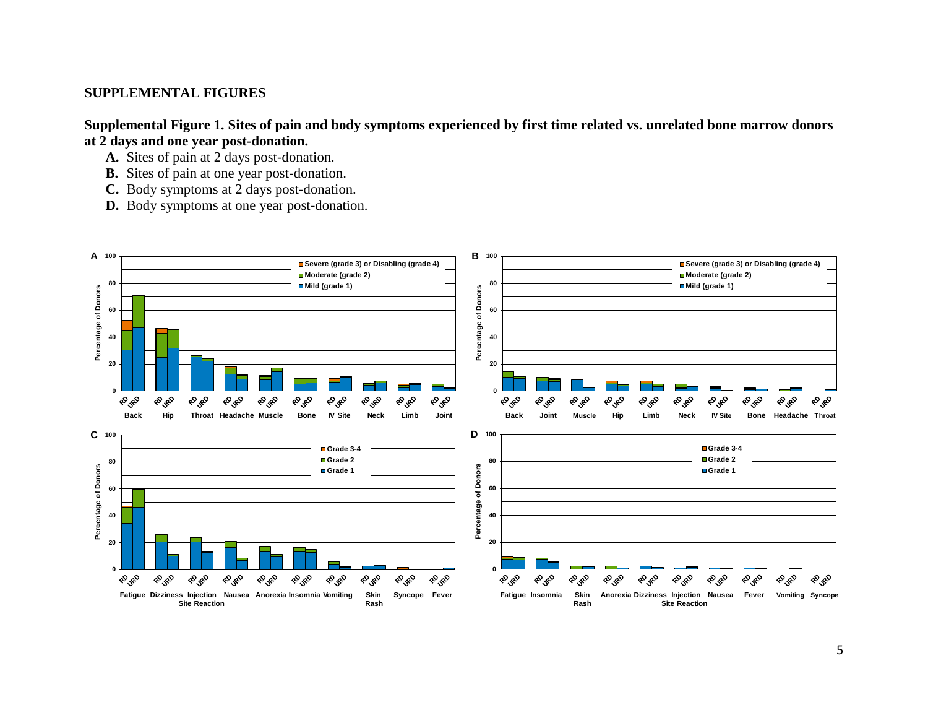## **SUPPLEMENTAL FIGURES**

**Supplemental Figure 1. Sites of pain and body symptoms experienced by first time related vs. unrelated bone marrow donors at 2 days and one year post-donation.** 

- **A.** Sites of pain at 2 days post-donation.
- **B.** Sites of pain at one year post-donation.
- **C.** Body symptoms at 2 days post-donation.
- **D.** Body symptoms at one year post-donation.

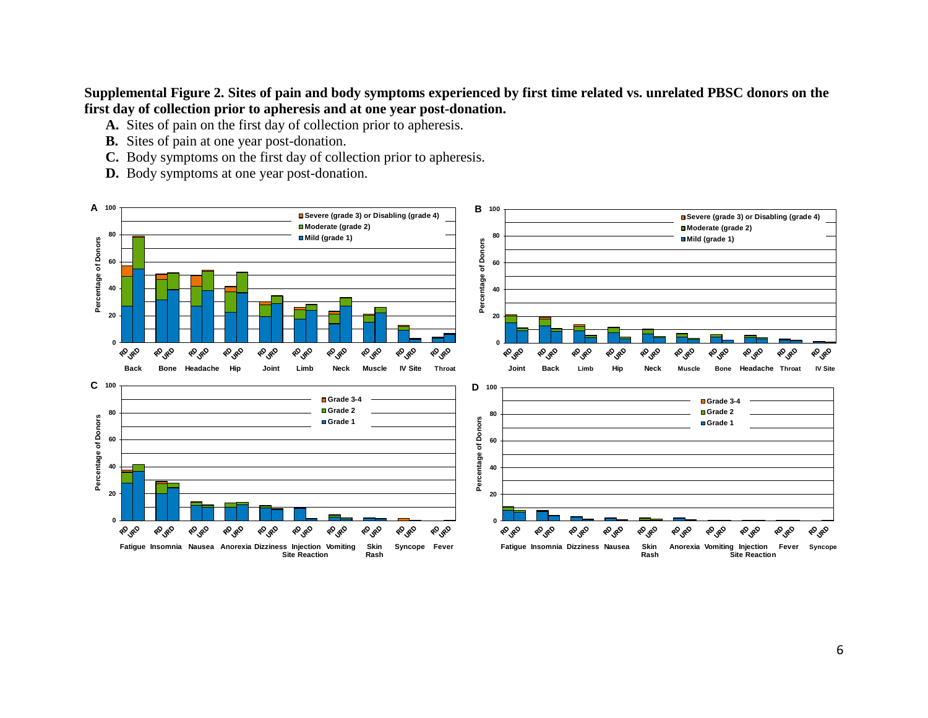## **Supplemental Figure 2. Sites of pain and body symptoms experienced by first time related vs. unrelated PBSC donors on the first day of collection prior to apheresis and at one year post-donation.**

- **A.** Sites of pain on the first day of collection prior to apheresis.
- **B.** Sites of pain at one year post-donation.
- **C.** Body symptoms on the first day of collection prior to apheresis.
- **D.** Body symptoms at one year post-donation.

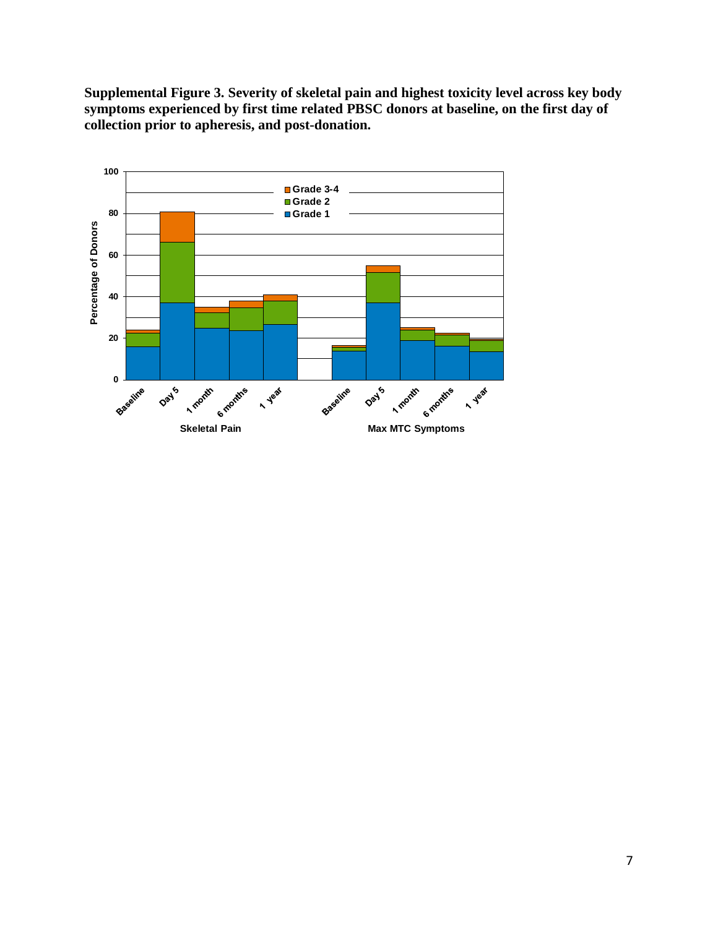**Supplemental Figure 3. Severity of skeletal pain and highest toxicity level across key body symptoms experienced by first time related PBSC donors at baseline, on the first day of collection prior to apheresis, and post-donation.**